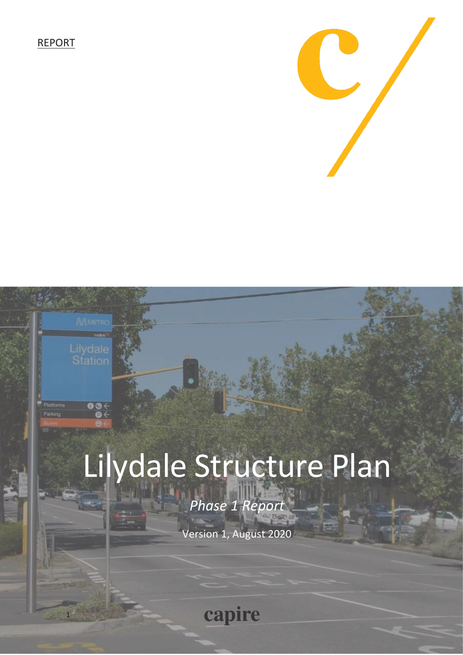REPORT

1

 $\overline{\bullet\circ\leftarrow}$ 



# Lilydale Structure Plan

*Phase 1 Report*

Version 1, August 2020

capire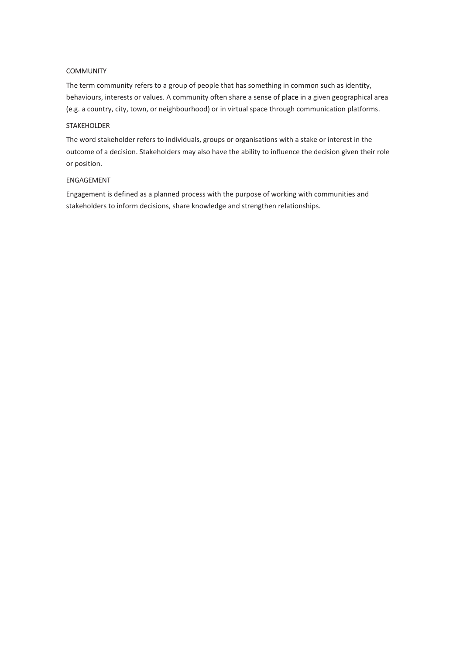#### COMMUNITY

The term community refers to a group of people that has something in common such as identity, behaviours, interests or values. A community often share a sense of [place](https://en.wikipedia.org/wiki/Place_(geography)) in a given geographical area (e.g. a country, city, town, or neighbourhood) or in virtual space through communication platforms.

### STAKEHOLDER

The word stakeholder refers to individuals, groups or organisations with a stake or interest in the outcome of a decision. Stakeholders may also have the ability to influence the decision given their role or position.

#### ENGAGEMENT

Engagement is defined as a planned process with the purpose of working with communities and stakeholders to inform decisions, share knowledge and strengthen relationships.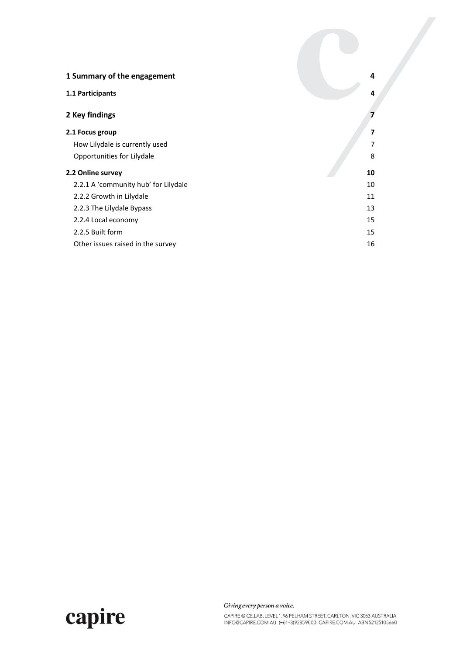| 1 Summary of the engagement          | 4  |
|--------------------------------------|----|
| 1.1 Participants                     | 4  |
| 2 Key findings                       | 7  |
| 2.1 Focus group                      | 7  |
| How Lilydale is currently used       | 7  |
| Opportunities for Lilydale           | 8  |
| 2.2 Online survey                    | 10 |
| 2.2.1 A 'community hub' for Lilydale | 10 |
| 2.2.2 Growth in Lilydale             | 11 |
| 2.2.3 The Lilydale Bypass            | 13 |
| 2.2.4 Local economy                  | 15 |
| 2.2.5 Built form                     | 15 |
| Other issues raised in the survey    | 16 |



Giving every person a voice.

CAPIRE @ CE.LAB, LEVEL 1, 96 PELHAM STREET, CARLTON, VIC 3053 AUSTRALIA<br>INFO@CAPIRE.COM.AU (+61-3)92859000 CAPIRE.COM.AU ABN 52125105660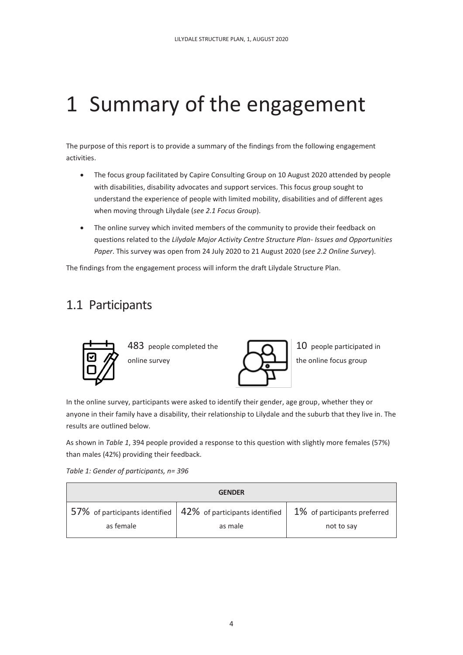## <span id="page-3-0"></span>1 Summary of the engagement

The purpose of this report is to provide a summary of the findings from the following engagement activities.

- The focus group facilitated by Capire Consulting Group on 10 August 2020 attended by people with disabilities, disability advocates and support services. This focus group sought to understand the experience of people with limited mobility, disabilities and of different ages when moving through Lilydale (*se[e 2.1 F](#page-6-1)ocus Group*).
- The online survey which invited members of the community to provide their feedback on questions related to the *Lilydale Major Activity Centre Structure Plan- Issues and Opportunities Paper*. This survey was open from 24 July 2020 to 21 August 2020 (*se[e 2.2 O](#page-9-0)nline Survey*).

The findings from the engagement process will inform the draft Lilydale Structure Plan.

## <span id="page-3-1"></span>1.1 Participants



In the online survey, participants were asked to identify their gender, age group, whether they or anyone in their family have a disability, their relationship to Lilydale and the suburb that they live in. The results are outlined below.

As shown in *[Table 1](#page-3-2)*, 394 people provided a response to this question with slightly more females (57%) than males (42%) providing their feedback.

<span id="page-3-2"></span>*Table 1: Gender of participants, n= 396*

| <b>GENDER</b> |                                                                       |                                 |
|---------------|-----------------------------------------------------------------------|---------------------------------|
|               | 57% of participants identified $\vert$ 42% of participants identified | $1\%$ of participants preferred |
| as female     | as male                                                               | not to say                      |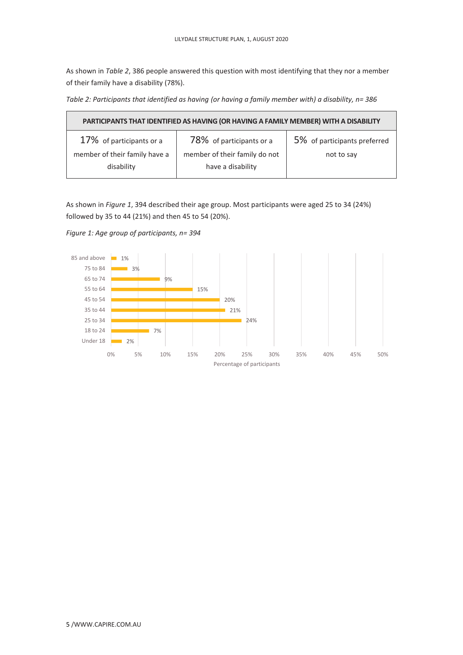As shown in *[Table 2](#page-4-0)*, 386 people answered this question with most identifying that they nor a member of their family have a disability (78%).

<span id="page-4-0"></span>*Table 2: Participants that identified as having (or having a family member with) a disability, n= 386*

| PARTICIPANTS THAT IDENTIFIED AS HAVING (OR HAVING A FAMILY MEMBER) WITH A DISABILITY |                                                    |                              |  |
|--------------------------------------------------------------------------------------|----------------------------------------------------|------------------------------|--|
| 17% of participants or a                                                             | 78% of participants or a                           | 5% of participants preferred |  |
| member of their family have a<br>disability                                          | member of their family do not<br>have a disability | not to say                   |  |

As shown in *[Figure 1](#page-4-1)*, 394 described their age group. Most participants were aged 25 to 34 (24%) followed by 35 to 44 (21%) and then 45 to 54 (20%).

<span id="page-4-1"></span>*Figure 1: Age group of participants, n= 394*

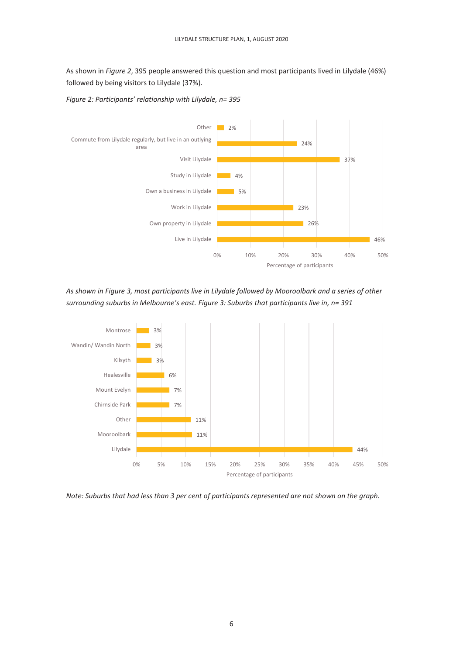As shown in *[Figure](#page-5-0) 2*, 395 people answered this question and most participants lived in Lilydale (46%) followed by being visitors to Lilydale (37%).



<span id="page-5-0"></span>*Figure 2: Participants' relationship with Lilydale, n= 395*

<span id="page-5-1"></span>*As shown i[n Figure](#page-5-1) 3, most participants live in Lilydale followed by Mooroolbark and a series of other surrounding suburbs in Melbourne's east. Figure 3: Suburbs that participants live in, n= 391*



*Note: Suburbs that had less than 3 per cent of participants represented are not shown on the graph.*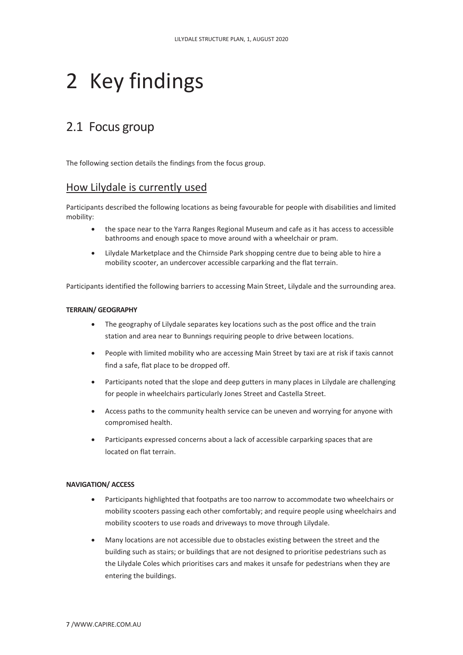## <span id="page-6-0"></span>2 Key findings

## <span id="page-6-1"></span>2.1 Focus group

The following section details the findings from the focus group.

## <span id="page-6-2"></span>How Lilydale is currently used

Participants described the following locations as being favourable for people with disabilities and limited mobility:

- the space near to the Yarra Ranges Regional Museum and cafe as it has access to accessible bathrooms and enough space to move around with a wheelchair or pram.
- Lilydale Marketplace and the Chirnside Park shopping centre due to being able to hire a mobility scooter, an undercover accessible carparking and the flat terrain.

Participants identified the following barriers to accessing Main Street, Lilydale and the surrounding area.

#### **TERRAIN/ GEOGRAPHY**

- The geography of Lilydale separates key locations such as the post office and the train station and area near to Bunnings requiring people to drive between locations.
- People with limited mobility who are accessing Main Street by taxi are at risk if taxis cannot find a safe, flat place to be dropped off.
- Participants noted that the slope and deep gutters in many places in Lilydale are challenging for people in wheelchairs particularly Jones Street and Castella Street.
- Access paths to the community health service can be uneven and worrying for anyone with compromised health.
- Participants expressed concerns about a lack of accessible carparking spaces that are located on flat terrain.

#### **NAVIGATION/ ACCESS**

- Participants highlighted that footpaths are too narrow to accommodate two wheelchairs or mobility scooters passing each other comfortably; and require people using wheelchairs and mobility scooters to use roads and driveways to move through Lilydale.
- Many locations are not accessible due to obstacles existing between the street and the building such as stairs; or buildings that are not designed to prioritise pedestrians such as the Lilydale Coles which prioritises cars and makes it unsafe for pedestrians when they are entering the buildings.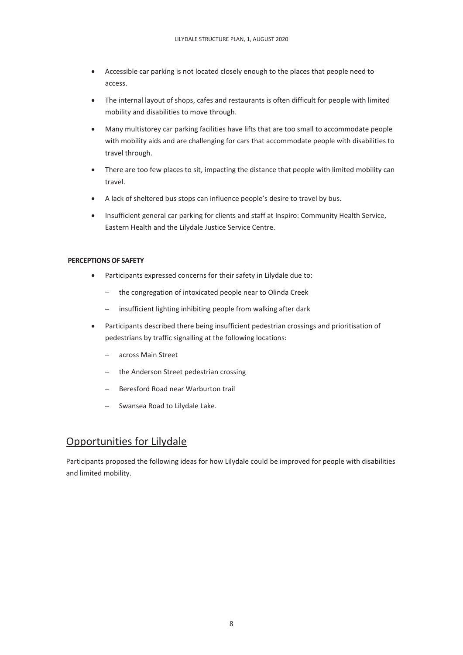- Accessible car parking is not located closely enough to the places that people need to access.
- The internal layout of shops, cafes and restaurants is often difficult for people with limited mobility and disabilities to move through.
- Many multistorey car parking facilities have lifts that are too small to accommodate people with mobility aids and are challenging for cars that accommodate people with disabilities to travel through.
- There are too few places to sit, impacting the distance that people with limited mobility can travel.
- A lack of sheltered bus stops can influence people's desire to travel by bus.
- Insufficient general car parking for clients and staff at Inspiro: Community Health Service, Eastern Health and the Lilydale Justice Service Centre.

#### **PERCEPTIONS OF SAFETY**

- Participants expressed concerns for their safety in Lilydale due to:
	- − the congregation of intoxicated people near to Olinda Creek
	- − insufficient lighting inhibiting people from walking after dark
- Participants described there being insufficient pedestrian crossings and prioritisation of pedestrians by traffic signalling at the following locations:
	- − across Main Street
	- − the Anderson Street pedestrian crossing
	- − Beresford Road near Warburton trail
	- − Swansea Road to Lilydale Lake.

## <span id="page-7-0"></span>Opportunities for Lilydale

Participants proposed the following ideas for how Lilydale could be improved for people with disabilities and limited mobility.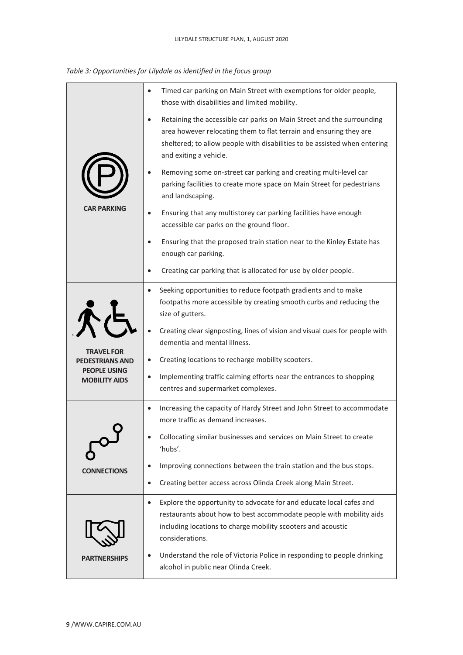| Table 3: Opportunities for Lilydale as identified in the focus group |  |  |  |
|----------------------------------------------------------------------|--|--|--|
|----------------------------------------------------------------------|--|--|--|

|                                             | Timed car parking on Main Street with exemptions for older people,<br>$\bullet$<br>those with disabilities and limited mobility.                                                                                                                   |
|---------------------------------------------|----------------------------------------------------------------------------------------------------------------------------------------------------------------------------------------------------------------------------------------------------|
|                                             | Retaining the accessible car parks on Main Street and the surrounding<br>area however relocating them to flat terrain and ensuring they are<br>sheltered; to allow people with disabilities to be assisted when entering<br>and exiting a vehicle. |
|                                             | Removing some on-street car parking and creating multi-level car<br>parking facilities to create more space on Main Street for pedestrians<br>and landscaping.                                                                                     |
| <b>CAR PARKING</b>                          | Ensuring that any multistorey car parking facilities have enough<br>accessible car parks on the ground floor.                                                                                                                                      |
|                                             | Ensuring that the proposed train station near to the Kinley Estate has<br>enough car parking.                                                                                                                                                      |
|                                             | Creating car parking that is allocated for use by older people.                                                                                                                                                                                    |
|                                             | Seeking opportunities to reduce footpath gradients and to make<br>footpaths more accessible by creating smooth curbs and reducing the<br>size of gutters.                                                                                          |
|                                             | Creating clear signposting, lines of vision and visual cues for people with<br>dementia and mental illness.                                                                                                                                        |
| <b>TRAVEL FOR</b><br><b>PEDESTRIANS AND</b> | Creating locations to recharge mobility scooters.                                                                                                                                                                                                  |
| <b>PEOPLE USING</b><br><b>MOBILITY AIDS</b> | Implementing traffic calming efforts near the entrances to shopping<br>$\bullet$<br>centres and supermarket complexes.                                                                                                                             |
|                                             | Increasing the capacity of Hardy Street and John Street to accommodate<br>$\bullet$<br>more traffic as demand increases.                                                                                                                           |
|                                             | Collocating similar businesses and services on Main Street to create<br>'hubs'.                                                                                                                                                                    |
| <b>CONNECTIONS</b>                          | Improving connections between the train station and the bus stops.<br>$\bullet$                                                                                                                                                                    |
|                                             | Creating better access across Olinda Creek along Main Street.<br>$\bullet$                                                                                                                                                                         |
|                                             | Explore the opportunity to advocate for and educate local cafes and<br>$\bullet$<br>restaurants about how to best accommodate people with mobility aids<br>including locations to charge mobility scooters and acoustic<br>considerations.         |
| <b>PARTNERSHIPS</b>                         | Understand the role of Victoria Police in responding to people drinking<br>alcohol in public near Olinda Creek.                                                                                                                                    |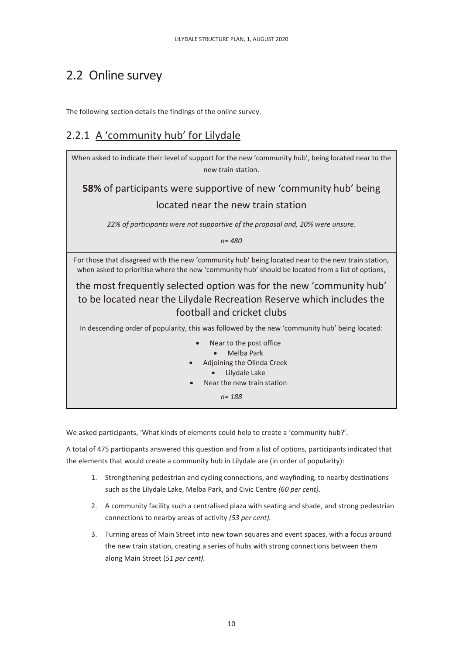## <span id="page-9-0"></span>2.2 Online survey

The following section details the findings of the online survey.

## <span id="page-9-1"></span>2.2.1 A 'community hub' for Lilydale



We asked participants, 'What kinds of elements could help to create a 'community hub?'.

A total of 475 participants answered this question and from a list of options, participants indicated that the elements that would create a community hub in Lilydale are (in order of popularity):

- 1. Strengthening pedestrian and cycling connections, and wayfinding, to nearby destinations such as the Lilydale Lake, Melba Park, and Civic Centre *(60 per cent)*.
- 2. A community facility such a centralised plaza with seating and shade, and strong pedestrian connections to nearby areas of activity *(53 per cent).*
- 3. Turning areas of Main Street into new town squares and event spaces, with a focus around the new train station, creating a series of hubs with strong connections between them along Main Street (*51 per cent).*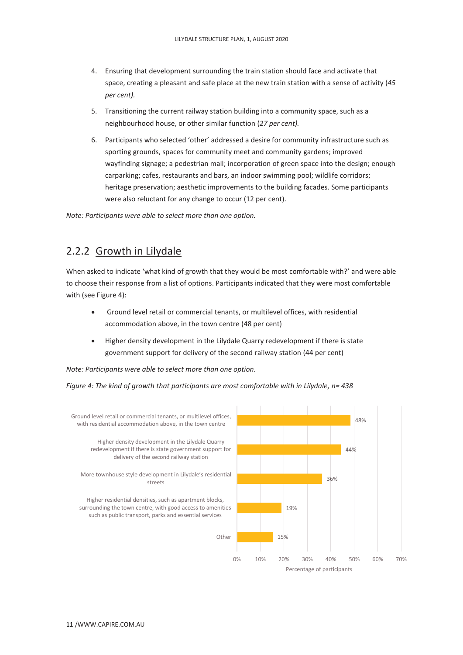- 4. Ensuring that development surrounding the train station should face and activate that space, creating a pleasant and safe place at the new train station with a sense of activity (*45 per cent).*
- 5. Transitioning the current railway station building into a community space, such as a neighbourhood house, or other similar function (*27 per cent).*
- 6. Participants who selected 'other' addressed a desire for community infrastructure such as sporting grounds, spaces for community meet and community gardens; improved wayfinding signage; a pedestrian mall; incorporation of green space into the design; enough carparking; cafes, restaurants and bars, an indoor swimming pool; wildlife corridors; heritage preservation; aesthetic improvements to the building facades. Some participants were also reluctant for any change to occur (12 per cent).

*Note: Participants were able to select more than one option.*

## <span id="page-10-0"></span>2.2.2 Growth in Lilydale

When asked to indicate 'what kind of growth that they would be most comfortable with?' and were able to choose their response from a list of options. Participants indicated that they were most comfortable with (se[e Figure 4\)](#page-10-1):

- Ground level retail or commercial tenants, or multilevel offices, with residential accommodation above, in the town centre (48 per cent)
- Higher density development in the Lilydale Quarry redevelopment if there is state government support for delivery of the second railway station (44 per cent)

*Note: Participants were able to select more than one option.*

<span id="page-10-1"></span>*Figure 4: The kind of growth that participants are most comfortable with in Lilydale, n= 438*

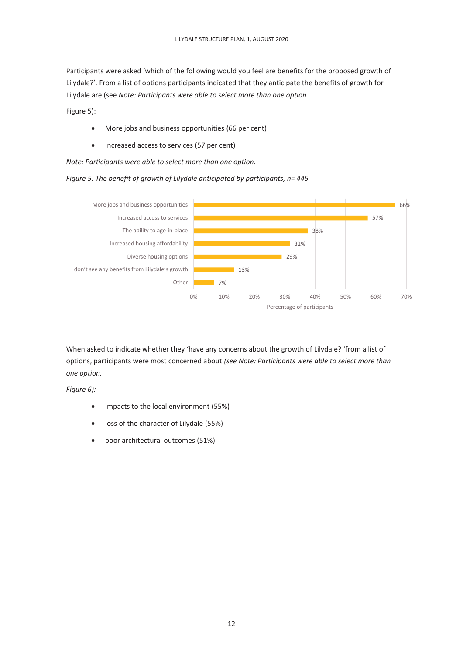Participants were asked 'which of the following would you feel are benefits for the proposed growth of Lilydale?'. From a list of options participants indicated that they anticipate the benefits of growth for Lilydale are (see *[Note: Participants were able to select more than one option.](#page-11-0)*

[Figure 5\)](#page-11-0):

- More jobs and business opportunities (66 per cent)
- Increased access to services (57 per cent)

<span id="page-11-0"></span>*Note: Participants were able to select more than one option.*

*Figure 5: The benefit of growth of Lilydale anticipated by participants, n= 445*



When asked to indicate whether they 'have any concerns about the growth of Lilydale? 'from a list of options, participants were most concerned about *(se[e Note: Participants were able to select more than](#page-12-1)  [one option.](#page-12-1)*

*[Figure 6\)](#page-12-1):*

- impacts to the local environment (55%)
- loss of the character of Lilydale (55%)
- poor architectural outcomes (51%)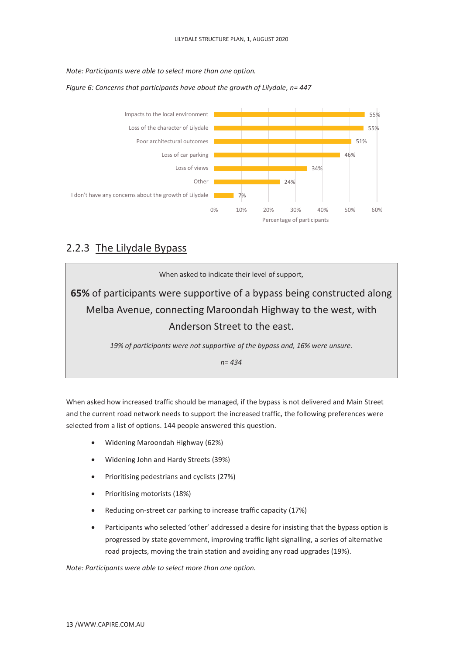<span id="page-12-1"></span>*Note: Participants were able to select more than one option.*



*Figure 6: Concerns that participants have about the growth of Lilydale, n= 447*

## <span id="page-12-0"></span>2.2.3 The Lilydale Bypass

When asked to indicate their level of support, **65%** of participants were supportive of a bypass being constructed along Melba Avenue, connecting Maroondah Highway to the west, with Anderson Street to the east. *19% of participants were not supportive of the bypass and, 16% were unsure.*

*n= 434*

When asked how increased traffic should be managed, if the bypass is not delivered and Main Street and the current road network needs to support the increased traffic, the following preferences were selected from a list of options. 144 people answered this question.

- Widening Maroondah Highway (62%)
- Widening John and Hardy Streets (39%)
- Prioritising pedestrians and cyclists (27%)
- Prioritising motorists (18%)
- Reducing on-street car parking to increase traffic capacity (17%)
- Participants who selected 'other' addressed a desire for insisting that the bypass option is progressed by state government, improving traffic light signalling, a series of alternative road projects, moving the train station and avoiding any road upgrades (19%).

*Note: Participants were able to select more than one option.*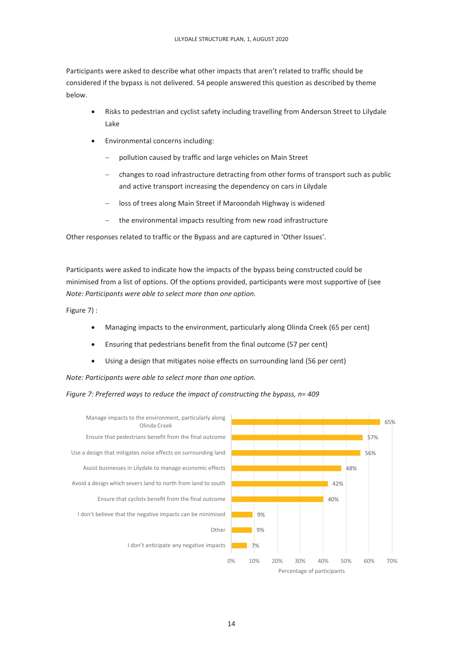Participants were asked to describe what other impacts that aren't related to traffic should be considered if the bypass is not delivered. 54 people answered this question as described by theme below.

- Risks to pedestrian and cyclist safety including travelling from Anderson Street to Lilydale Lake
- Environmental concerns including:
	- pollution caused by traffic and large vehicles on Main Street
	- changes to road infrastructure detracting from other forms of transport such as public and active transport increasing the dependency on cars in Lilydale
	- loss of trees along Main Street if Maroondah Highway is widened
	- the environmental impacts resulting from new road infrastructure

Other responses related to traffic or the Bypass and are captured in 'Other Issues'.

Participants were asked to indicate how the impacts of the bypass being constructed could be minimised from a list of options. Of the options provided, participants were most supportive of (see *[Note: Participants were able to select more than one option.](#page-13-0)*

[Figure 7\)](#page-13-0) :

- Managing impacts to the environment, particularly along Olinda Creek (65 per cent)
- Ensuring that pedestrians benefit from the final outcome (57 per cent)
- Using a design that mitigates noise effects on surrounding land (56 per cent)

<span id="page-13-0"></span>*Note: Participants were able to select more than one option.*

*Figure 7: Preferred ways to reduce the impact of constructing the bypass, n= 409*



Percentage of participants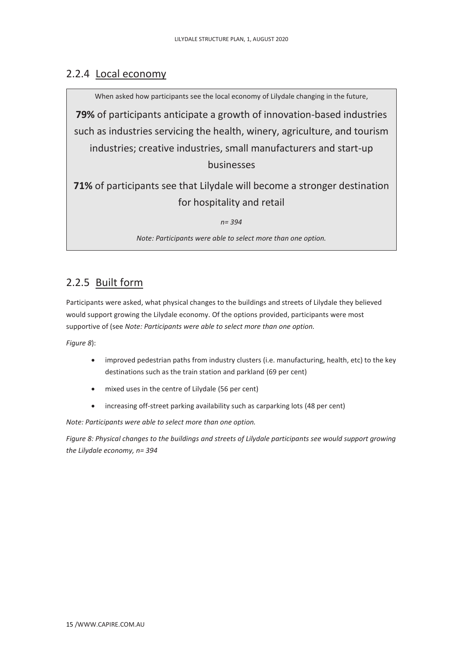## <span id="page-14-0"></span>2.2.4 Local economy

When asked how participants see the local economy of Lilydale changing in the future, **79%** of participants anticipate a growth of innovation-based industries such as industries servicing the health, winery, agriculture, and tourism industries; creative industries, small manufacturers and start-up businesses **71%** of participants see that Lilydale will become a stronger destination for hospitality and retail *n= 394*

*Note: Participants were able to select more than one option.*

## <span id="page-14-1"></span>2.2.5 Built form

Participants were asked, what physical changes to the buildings and streets of Lilydale they believed would support growing the Lilydale economy. Of the options provided, participants were most supportive of (see *[Note: Participants were able to select more than one option.](#page-14-2)*

*[Figure 8](#page-14-2)*):

- improved pedestrian paths from industry clusters (i.e. manufacturing, health, etc) to the key destinations such as the train station and parkland (69 per cent)
- mixed uses in the centre of Lilydale (56 per cent)
- increasing off-street parking availability such as carparking lots (48 per cent)

<span id="page-14-2"></span>*Note: Participants were able to select more than one option.*

*Figure 8: Physical changes to the buildings and streets of Lilydale participants see would support growing the Lilydale economy, n= 394*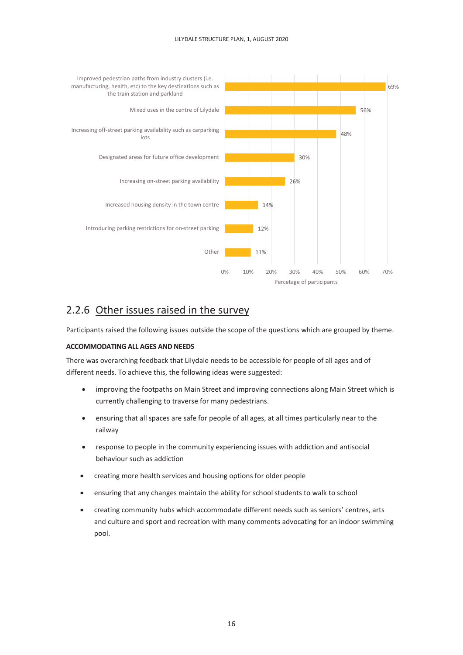#### LILYDALE STRUCTURE PLAN, 1, AUGUST 2020



## <span id="page-15-0"></span>2.2.6 Other issues raised in the survey

Participants raised the following issues outside the scope of the questions which are grouped by theme.

#### **ACCOMMODATING ALL AGES AND NEEDS**

There was overarching feedback that Lilydale needs to be accessible for people of all ages and of different needs. To achieve this, the following ideas were suggested:

- improving the footpaths on Main Street and improving connections along Main Street which is currently challenging to traverse for many pedestrians.
- ensuring that all spaces are safe for people of all ages, at all times particularly near to the railway
- response to people in the community experiencing issues with addiction and antisocial behaviour such as addiction
- creating more health services and housing options for older people
- ensuring that any changes maintain the ability for school students to walk to school
- creating community hubs which accommodate different needs such as seniors' centres, arts and culture and sport and recreation with many comments advocating for an indoor swimming pool.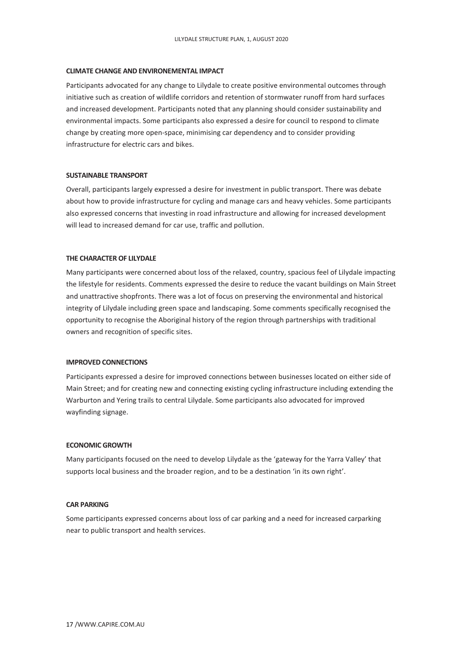#### **CLIMATE CHANGE AND ENVIRONEMENTAL IMPACT**

Participants advocated for any change to Lilydale to create positive environmental outcomes through initiative such as creation of wildlife corridors and retention of stormwater runoff from hard surfaces and increased development. Participants noted that any planning should consider sustainability and environmental impacts. Some participants also expressed a desire for council to respond to climate change by creating more open-space, minimising car dependency and to consider providing infrastructure for electric cars and bikes.

#### **SUSTAINABLE TRANSPORT**

Overall, participants largely expressed a desire for investment in public transport. There was debate about how to provide infrastructure for cycling and manage cars and heavy vehicles. Some participants also expressed concerns that investing in road infrastructure and allowing for increased development will lead to increased demand for car use, traffic and pollution.

#### **THE CHARACTER OF LILYDALE**

Many participants were concerned about loss of the relaxed, country, spacious feel of Lilydale impacting the lifestyle for residents. Comments expressed the desire to reduce the vacant buildings on Main Street and unattractive shopfronts. There was a lot of focus on preserving the environmental and historical integrity of Lilydale including green space and landscaping. Some comments specifically recognised the opportunity to recognise the Aboriginal history of the region through partnerships with traditional owners and recognition of specific sites.

#### **IMPROVED CONNECTIONS**

Participants expressed a desire for improved connections between businesses located on either side of Main Street; and for creating new and connecting existing cycling infrastructure including extending the Warburton and Yering trails to central Lilydale. Some participants also advocated for improved wayfinding signage.

#### **ECONOMIC GROWTH**

Many participants focused on the need to develop Lilydale as the 'gateway for the Yarra Valley' that supports local business and the broader region, and to be a destination 'in its own right'.

#### **CAR PARKING**

Some participants expressed concerns about loss of car parking and a need for increased carparking near to public transport and health services.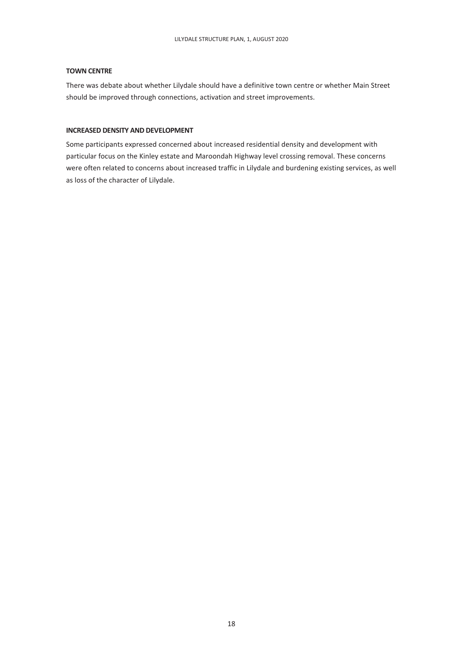#### **TOWN CENTRE**

There was debate about whether Lilydale should have a definitive town centre or whether Main Street should be improved through connections, activation and street improvements.

#### **INCREASED DENSITY AND DEVELOPMENT**

Some participants expressed concerned about increased residential density and development with particular focus on the Kinley estate and Maroondah Highway level crossing removal. These concerns were often related to concerns about increased traffic in Lilydale and burdening existing services, as well as loss of the character of Lilydale.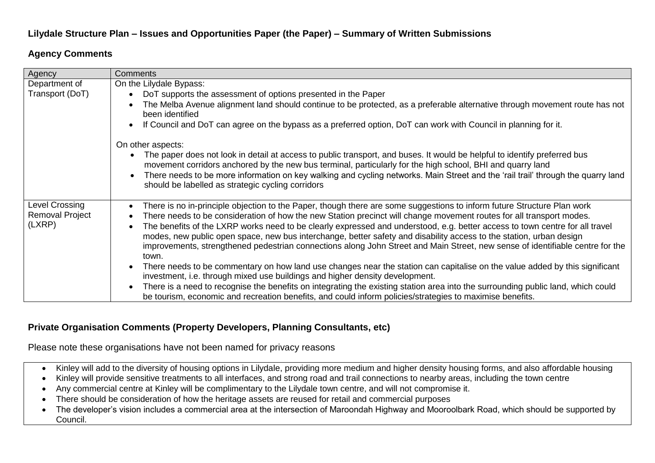## **Lilydale Structure Plan – Issues and Opportunities Paper (the Paper) – Summary of Written Submissions**

## **Agency Comments**

| Agency          | <b>Comments</b>                                                                                                                                                                                                                                                                                                                                                                          |
|-----------------|------------------------------------------------------------------------------------------------------------------------------------------------------------------------------------------------------------------------------------------------------------------------------------------------------------------------------------------------------------------------------------------|
| Department of   | On the Lilydale Bypass:                                                                                                                                                                                                                                                                                                                                                                  |
| Transport (DoT) | DoT supports the assessment of options presented in the Paper                                                                                                                                                                                                                                                                                                                            |
|                 | The Melba Avenue alignment land should continue to be protected, as a preferable alternative through movement route has not<br>been identified                                                                                                                                                                                                                                           |
|                 | If Council and DoT can agree on the bypass as a preferred option, DoT can work with Council in planning for it.                                                                                                                                                                                                                                                                          |
|                 | On other aspects:                                                                                                                                                                                                                                                                                                                                                                        |
|                 | The paper does not look in detail at access to public transport, and buses. It would be helpful to identify preferred bus<br>$\bullet$<br>movement corridors anchored by the new bus terminal, particularly for the high school, BHI and quarry land<br>There needs to be more information on key walking and cycling networks. Main Street and the 'rail trail' through the quarry land |
|                 | should be labelled as strategic cycling corridors                                                                                                                                                                                                                                                                                                                                        |
| Level Crossing  | There is no in-principle objection to the Paper, though there are some suggestions to inform future Structure Plan work<br>$\bullet$                                                                                                                                                                                                                                                     |
| Removal Project | There needs to be consideration of how the new Station precinct will change movement routes for all transport modes.                                                                                                                                                                                                                                                                     |
| (LXRP)          | The benefits of the LXRP works need to be clearly expressed and understood, e.g. better access to town centre for all travel                                                                                                                                                                                                                                                             |
|                 | modes, new public open space, new bus interchange, better safety and disability access to the station, urban design                                                                                                                                                                                                                                                                      |
|                 | improvements, strengthened pedestrian connections along John Street and Main Street, new sense of identifiable centre for the<br>town.                                                                                                                                                                                                                                                   |
|                 | There needs to be commentary on how land use changes near the station can capitalise on the value added by this significant<br>investment, i.e. through mixed use buildings and higher density development.                                                                                                                                                                              |
|                 | There is a need to recognise the benefits on integrating the existing station area into the surrounding public land, which could<br>be tourism, economic and recreation benefits, and could inform policies/strategies to maximise benefits.                                                                                                                                             |

## **Private Organisation Comments (Property Developers, Planning Consultants, etc)**

Please note these organisations have not been named for privacy reasons

- Kinley will add to the diversity of housing options in Lilydale, providing more medium and higher density housing forms, and also affordable housing
- Kinley will provide sensitive treatments to all interfaces, and strong road and trail connections to nearby areas, including the town centre
- Any commercial centre at Kinley will be complimentary to the Lilydale town centre, and will not compromise it.
- There should be consideration of how the heritage assets are reused for retail and commercial purposes
- The developer's vision includes a commercial area at the intersection of Maroondah Highway and Mooroolbark Road, which should be supported by Council.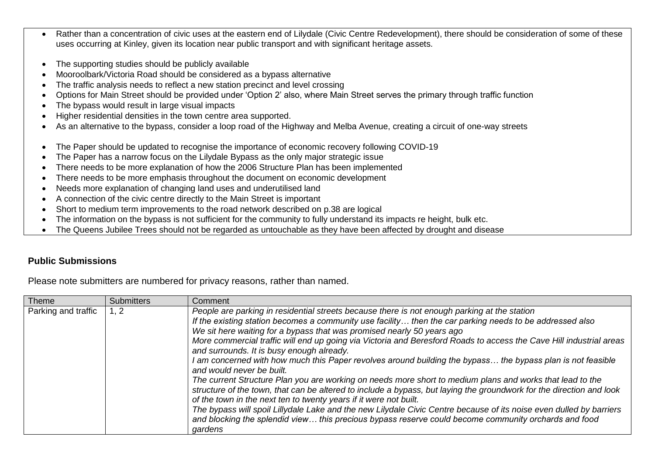- Rather than a concentration of civic uses at the eastern end of Lilydale (Civic Centre Redevelopment), there should be consideration of some of these uses occurring at Kinley, given its location near public transport and with significant heritage assets.
- The supporting studies should be publicly available
- Mooroolbark/Victoria Road should be considered as a bypass alternative
- The traffic analysis needs to reflect a new station precinct and level crossing
- Options for Main Street should be provided under 'Option 2' also, where Main Street serves the primary through traffic function
- The bypass would result in large visual impacts
- Higher residential densities in the town centre area supported.
- As an alternative to the bypass, consider a loop road of the Highway and Melba Avenue, creating a circuit of one-way streets
- The Paper should be updated to recognise the importance of economic recovery following COVID-19
- The Paper has a narrow focus on the Lilydale Bypass as the only major strategic issue
- There needs to be more explanation of how the 2006 Structure Plan has been implemented
- There needs to be more emphasis throughout the document on economic development
- Needs more explanation of changing land uses and underutilised land
- A connection of the civic centre directly to the Main Street is important
- Short to medium term improvements to the road network described on p.38 are logical
- The information on the bypass is not sufficient for the community to fully understand its impacts re height, bulk etc.
- The Queens Jubilee Trees should not be regarded as untouchable as they have been affected by drought and disease

### **Public Submissions**

Please note submitters are numbered for privacy reasons, rather than named.

| <b>Theme</b>        | <b>Submitters</b> | Comment                                                                                                                                                                                                                                                                                                                                                                                                                                                                                                                                                                                                                                                                                                                                                                                                                                                                                                                                                                                                                                                                                                                                                |
|---------------------|-------------------|--------------------------------------------------------------------------------------------------------------------------------------------------------------------------------------------------------------------------------------------------------------------------------------------------------------------------------------------------------------------------------------------------------------------------------------------------------------------------------------------------------------------------------------------------------------------------------------------------------------------------------------------------------------------------------------------------------------------------------------------------------------------------------------------------------------------------------------------------------------------------------------------------------------------------------------------------------------------------------------------------------------------------------------------------------------------------------------------------------------------------------------------------------|
| Parking and traffic | 1, 2              | People are parking in residential streets because there is not enough parking at the station<br>If the existing station becomes a community use facility then the car parking needs to be addressed also<br>We sit here waiting for a bypass that was promised nearly 50 years ago<br>More commercial traffic will end up going via Victoria and Beresford Roads to access the Cave Hill industrial areas<br>and surrounds. It is busy enough already.<br>I am concerned with how much this Paper revolves around building the bypass the bypass plan is not feasible<br>and would never be built.<br>The current Structure Plan you are working on needs more short to medium plans and works that lead to the<br>structure of the town, that can be altered to include a bypass, but laying the groundwork for the direction and look<br>of the town in the next ten to twenty years if it were not built.<br>The bypass will spoil Lillydale Lake and the new Lilydale Civic Centre because of its noise even dulled by barriers<br>and blocking the splendid view this precious bypass reserve could become community orchards and food<br>gardens |